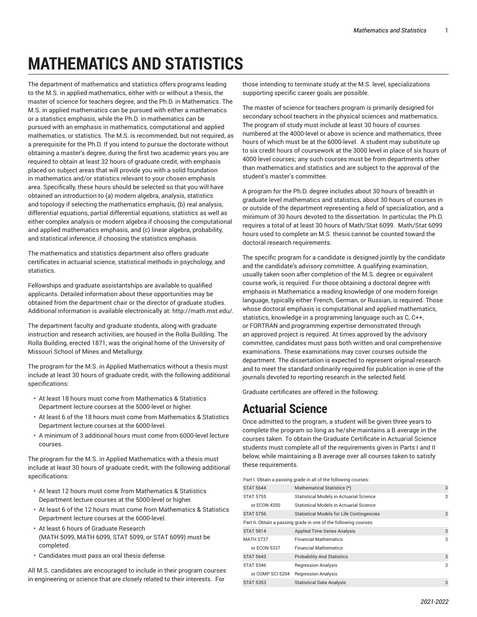# **MATHEMATICS AND STATISTICS**

The department of mathematics and statistics offers programs leading to the M.S. in applied mathematics, either with or without a thesis, the master of science for teachers degree, and the Ph.D. in Mathematics. The M.S. in applied mathematics can be pursued with either a mathematics or a statistics emphasis, while the Ph.D. in mathematics can be pursued with an emphasis in mathematics, computational and applied mathematics, or statistics. The M.S. is recommended, but not required, as a prerequisite for the Ph.D. If you intend to pursue the doctorate without obtaining a master's degree, during the first two academic years you are required to obtain at least 32 hours of graduate credit, with emphasis placed on subject areas that will provide you with a solid foundation in mathematics and/or statistics relevant to your chosen emphasis area. Specifically, these hours should be selected so that you will have obtained an introduction to (a) modern algebra, analysis, statistics and topology if selecting the mathematics emphasis, (b) real analysis, differential equations, partial differential equations, statistics as well as either complex analysis or modern algebra if choosing the computational and applied mathematics emphasis, and (c) linear algebra, probability, and statistical inference, if choosing the statistics emphasis.

The mathematics and statistics department also offers graduate certificates in actuarial science, statistical methods in psychology, and statistics.

Fellowships and graduate assistantships are available to qualified applicants. Detailed information about these opportunities may be obtained from the department chair or the director of graduate studies. Additional information is available electronically at: <http://math.mst.edu/>.

The department faculty and graduate students, along with graduate instruction and research activities, are housed in the Rolla Building. The Rolla Building, erected 1871, was the original home of the University of Missouri School of Mines and Metallurgy.

The program for the M.S. in Applied Mathematics without a thesis must include at least 30 hours of graduate credit, with the following additional specifications:

- At least 18 hours must come from Mathematics & Statistics Department lecture courses at the 5000-level or higher.
- At least 6 of the 18 hours must come from Mathematics & Statistics Department lecture courses at the 6000-level.
- A minimum of 3 additional hours must come from 6000-level lecture courses.

The program for the M.S. in Applied Mathematics with a thesis must include at least 30 hours of graduate credit, with the following additional specifications:

- At least 12 hours must come from Mathematics & Statistics Department lecture courses at the 5000-level or higher.
- At least 6 of the 12 hours must come from Mathematics & Statistics Department lecture courses at the 6000-level.
- At least 6 hours of Graduate Research (MATH 5099, MATH 6099, STAT 5099, or STAT 6099) must be completed.
- Candidates must pass an oral thesis defense.

All M.S. candidates are encouraged to include in their program courses in engineering or science that are closely related to their interests. For

those intending to terminate study at the M.S. level, specializations supporting specific career goals are possible.

The master of science for teachers program is primarily designed for secondary school teachers in the physical sciences and mathematics. The program of study must include at least 30 hours of courses numbered at the 4000-level or above in science and mathematics, three hours of which must be at the 6000-level. A student may substitute up to six credit hours of coursework at the 3000 level in place of six hours of 4000 level courses; any such courses must be from departments other than mathematics and statistics and are subject to the approval of the student's master's committee.

A program for the Ph.D. degree includes about 30 hours of breadth in graduate level mathematics and statistics, about 30 hours of courses in or outside of the department representing a field of specialization, and a minimum of 30 hours devoted to the dissertation. In particular, the Ph.D. requires a total of at least 30 hours of Math/Stat 6099. Math/Stat 6099 hours used to complete an M.S. thesis cannot be counted toward the doctoral research requirements.

The specific program for a candidate is designed jointly by the candidate and the candidate's advisory committee. A qualifying examination, usually taken soon after completion of the M.S. degree or equivalent course work, is required. For those obtaining a doctoral degree with emphasis in Mathematics a reading knowledge of one modern foreign language, typically either French, German, or Russian, is required. Those whose doctoral emphasis is computational and applied mathematics, statistics, knowledge in a programming language such as C, C++, or FORTRAN and programming expertise demonstrated through an approved project is required. At times approved by the advisory committee, candidates must pass both written and oral comprehensive examinations. These examinations may cover courses outside the department. The dissertation is expected to represent original research and to meet the standard ordinarily required for publication in one of the journals devoted to reporting research in the selected field.

Graduate certificates are offered in the following:

# **Actuarial Science**

Once admitted to the program, a student will be given three years to complete the program so long as he/she maintains a B average in the courses taken. To obtain the Graduate Certificate in Actuarial Science students must complete all of the requirements given in Parts I and II below, while maintaining a B average over all courses taken to satisfy these requirements.

Part I. Obtain a passing grade in all of the following courses:

| <b>STAT 5644</b> | Mathematical Statistics (*)                                      | 3 |
|------------------|------------------------------------------------------------------|---|
| <b>STAT 5755</b> | Statistical Models in Actuarial Science                          | 3 |
| or ECON 4350     | Statistical Models in Actuarial Science                          |   |
| <b>STAT 5756</b> | <b>Statistical Models for Life Contingencies</b>                 | 3 |
|                  | Part II. Obtain a passing grade in one of the following courses: |   |
| <b>STAT 5814</b> | <b>Applied Time Series Analysis</b>                              | 3 |
| <b>MATH 5737</b> | <b>Financial Mathematics</b>                                     | 3 |
| or ECON 5337     | <b>Financial Mathematics</b>                                     |   |
| <b>STAT 5643</b> | <b>Probability And Statistics</b>                                | 3 |
| <b>STAT 5346</b> | <b>Regression Analysis</b>                                       | 3 |
| or COMP SCI 5204 | <b>Regression Analysis</b>                                       |   |
| STAT 5353        | <b>Statistical Data Analysis</b>                                 | 3 |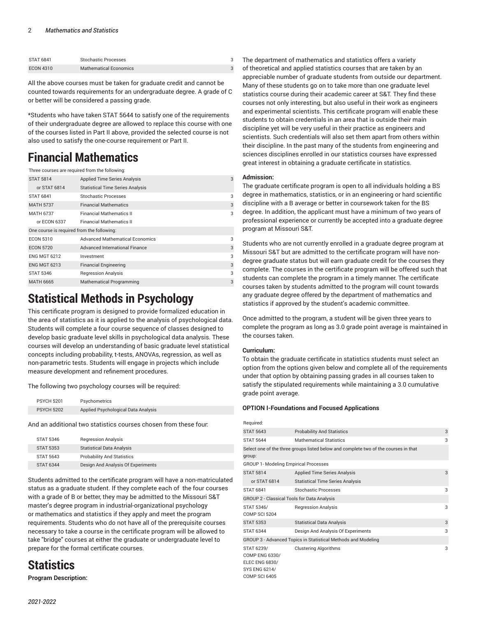| <b>STAT 6841</b> | Stochastic Processes          |  |
|------------------|-------------------------------|--|
| <b>ECON 4310</b> | <b>Mathematical Economics</b> |  |

All the above courses must be taken for graduate credit and cannot be counted towards requirements for an undergraduate degree. A grade of C or better will be considered a passing grade.

\*Students who have taken STAT 5644 to satisfy one of the requirements of their undergraduate degree are allowed to replace this course with one of the courses listed in Part II above, provided the selected course is not also used to satisfy the one-course requirement or Part II.

# **Financial Mathematics**

| Three courses are required from the following: |                                         |   |
|------------------------------------------------|-----------------------------------------|---|
| <b>STAT 5814</b>                               | <b>Applied Time Series Analysis</b>     | 3 |
| or STAT 6814                                   | <b>Statistical Time Series Analysis</b> |   |
| <b>STAT 6841</b>                               | Stochastic Processes                    | 3 |
| <b>MATH 5737</b>                               | <b>Financial Mathematics</b>            | 3 |
| <b>MATH 6737</b>                               | <b>Financial Mathematics II</b>         | 3 |
| or ECON 6337                                   | <b>Financial Mathematics II</b>         |   |
| One course is required from the following:     |                                         |   |
| <b>ECON 5310</b>                               | <b>Advanced Mathematical Economics</b>  | 3 |
| <b>ECON 5720</b>                               | <b>Advanced International Finance</b>   | 3 |
| <b>ENG MGT 6212</b>                            | Investment                              | 3 |
| <b>ENG MGT 6213</b>                            | <b>Financial Engineering</b>            | 3 |
| <b>STAT 5346</b>                               | <b>Regression Analysis</b>              | 3 |
| <b>MATH 6665</b>                               | <b>Mathematical Programming</b>         | 3 |

# **Statistical Methods in Psychology**

This certificate program is designed to provide formalized education in the area of statistics as it is applied to the analysis of psychological data. Students will complete a four course sequence of classes designed to develop basic graduate level skills in psychological data analysis. These courses will develop an understanding of basic graduate level statistical concepts including probability, t-tests, ANOVAs, regression, as well as non-parametric tests. Students will engage in projects which include measure development and refinement procedures.

The following two psychology courses will be required:

| <b>PSYCH 5201</b> | Psychometrics                       |
|-------------------|-------------------------------------|
| <b>PSYCH 5202</b> | Applied Psychological Data Analysis |

And an additional two statistics courses chosen from these four:

| <b>STAT 5346</b> | <b>Regression Analysis</b>         |
|------------------|------------------------------------|
| <b>STAT 5353</b> | <b>Statistical Data Analysis</b>   |
| <b>STAT 5643</b> | <b>Probability And Statistics</b>  |
| <b>STAT 6344</b> | Design And Analysis Of Experiments |

Students admitted to the certificate program will have a non-matriculated status as a graduate student. If they complete each of the four courses with a grade of B or better, they may be admitted to the Missouri S&T master's degree program in industrial-organizational psychology or mathematics and statistics if they apply and meet the program requirements. Students who do not have all of the prerequisite courses necessary to take a course in the certificate program will be allowed to take "bridge" courses at either the graduate or undergraduate level to prepare for the formal certificate courses.

# **Statistics**

**Program Description:**

The department of mathematics and statistics offers a variety of theoretical and applied statistics courses that are taken by an appreciable number of graduate students from outside our department. Many of these students go on to take more than one graduate level statistics course during their academic career at S&T. They find these courses not only interesting, but also useful in their work as engineers and experimental scientists. This certificate program will enable these students to obtain credentials in an area that is outside their main discipline yet will be very useful in their practice as engineers and scientists. Such credentials will also set them apart from others within their discipline. In the past many of the students from engineering and sciences disciplines enrolled in our statistics courses have expressed great interest in obtaining a graduate certificate in statistics.

# **Admission:**

The graduate certificate program is open to all individuals holding a BS degree in mathematics, statistics, or in an engineering or hard scientific discipline with a B average or better in coursework taken for the BS degree. In addition, the applicant must have a minimum of two years of professional experience or currently be accepted into a graduate degree program at Missouri S&T.

Students who are not currently enrolled in a graduate degree program at Missouri S&T but are admitted to the certificate program will have nondegree graduate status but will earn graduate credit for the courses they complete. The courses in the certificate program will be offered such that students can complete the program in a timely manner. The certificate courses taken by students admitted to the program will count towards any graduate degree offered by the department of mathematics and statistics if approved by the student's academic committee.

Once admitted to the program, a student will be given three years to complete the program as long as 3.0 grade point average is maintained in the courses taken.

# **Curriculum:**

To obtain the graduate certificate in statistics students must select an option from the options given below and complete all of the requirements under that option by obtaining passing grades in all courses taken to satisfy the stipulated requirements while maintaining a 3.0 cumulative grade point average.

# **OPTION I-Foundations and Focused Applications**

| Required:                                                                                      |                                                                                     |   |
|------------------------------------------------------------------------------------------------|-------------------------------------------------------------------------------------|---|
| <b>STAT 5643</b>                                                                               | <b>Probability And Statistics</b>                                                   | 3 |
| <b>STAT 5644</b>                                                                               | <b>Mathematical Statistics</b>                                                      | 3 |
| group:                                                                                         | Select one of the three groups listed below and complete two of the courses in that |   |
| <b>GROUP 1- Modeling Empirical Processes</b>                                                   |                                                                                     |   |
| <b>STAT 5814</b>                                                                               | <b>Applied Time Series Analysis</b>                                                 | 3 |
| or STAT 6814                                                                                   | <b>Statistical Time Series Analysis</b>                                             |   |
| <b>STAT 6841</b>                                                                               | Stochastic Processes                                                                | 3 |
| GROUP 2 - Classical Tools for Data Analysis                                                    |                                                                                     |   |
| STAT 5346/<br><b>COMP SCI 5204</b>                                                             | <b>Regression Analysis</b>                                                          | 3 |
| <b>STAT 5353</b>                                                                               | <b>Statistical Data Analysis</b>                                                    | 3 |
| <b>STAT 6344</b>                                                                               | Design And Analysis Of Experiments                                                  | 3 |
|                                                                                                | GROUP 3 - Advanced Topics in Statistical Methods and Modeling                       |   |
| STAT 6239/<br>COMP ENG 6330/<br><b>ELEC ENG 6830/</b><br>SYS ENG 6214/<br><b>COMP SCI 6405</b> | <b>Clustering Algorithms</b>                                                        | 3 |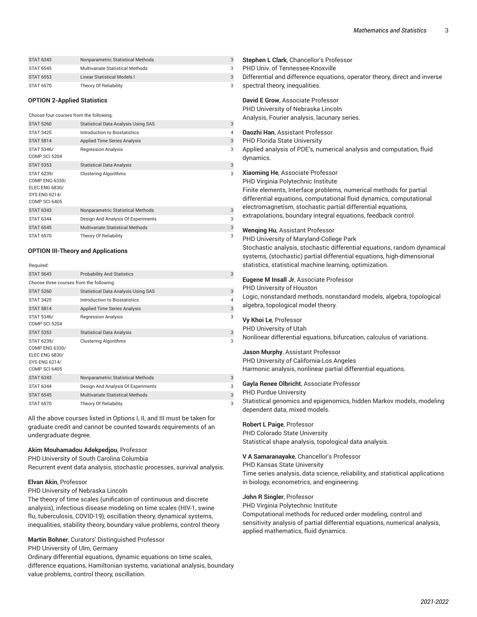| <b>STAT 6343</b> | Nonparametric Statistical Methods |  |
|------------------|-----------------------------------|--|
| STAT 6545        | Multivariate Statistical Methods  |  |
| STAT 6553        | Linear Statistical Models I       |  |
| STAT 6570        | Theory Of Reliability             |  |

#### **OPTION 2-Applied Statistics**

#### Choose four courses from the following:

| <b>STAT 5260</b>                                                                                      | <b>Statistical Data Analysis Using SAS</b> | 3              |
|-------------------------------------------------------------------------------------------------------|--------------------------------------------|----------------|
| <b>STAT 3425</b>                                                                                      | Introduction to Biostatistics              | $\overline{4}$ |
| <b>STAT 5814</b>                                                                                      | <b>Applied Time Series Analysis</b>        | 3              |
| STAT 5346/<br>COMP SCI 5204                                                                           | <b>Regression Analysis</b>                 | 3              |
| <b>STAT 5353</b>                                                                                      | <b>Statistical Data Analysis</b>           | 3              |
| STAT 6239/<br><b>COMP ENG 6330/</b><br><b>ELEC ENG 6830/</b><br>SYS ENG 6214/<br><b>COMP SCI 6405</b> | <b>Clustering Algorithms</b>               | 3              |
| <b>STAT 6343</b>                                                                                      | Nonparametric Statistical Methods          | 3              |
| <b>STAT 6344</b>                                                                                      | Design And Analysis Of Experiments         | 3              |
| <b>STAT 6545</b>                                                                                      | Multivariate Statistical Methods           | 3              |
| <b>STAT 6570</b>                                                                                      | Theory Of Reliability                      | 3              |

#### **OPTION III-Theory and Applications**

| Required:                                                                                                    |                                            |                |  |
|--------------------------------------------------------------------------------------------------------------|--------------------------------------------|----------------|--|
| <b>STAT 5643</b>                                                                                             | <b>Probability And Statistics</b>          | 3              |  |
| Choose three courses from the following:                                                                     |                                            |                |  |
| <b>STAT 5260</b>                                                                                             | <b>Statistical Data Analysis Using SAS</b> | 3              |  |
| <b>STAT 3425</b>                                                                                             | Introduction to Biostatistics              | $\overline{4}$ |  |
| <b>STAT 5814</b>                                                                                             | <b>Applied Time Series Analysis</b>        | 3              |  |
| STAT 5346/<br><b>COMP SCI 5204</b>                                                                           | <b>Regression Analysis</b>                 | 3              |  |
| <b>STAT 5353</b>                                                                                             | <b>Statistical Data Analysis</b>           | 3              |  |
| STAT 6239/<br><b>COMP ENG 6330/</b><br><b>ELEC ENG 6830/</b><br><b>SYS ENG 6214/</b><br><b>COMP SCI 6405</b> | <b>Clustering Algorithms</b>               | 3              |  |
| <b>STAT 6343</b>                                                                                             | Nonparametric Statistical Methods          | 3              |  |
| <b>STAT 6344</b>                                                                                             | Design And Analysis Of Experiments         | 3              |  |
| <b>STAT 6545</b>                                                                                             | Multivariate Statistical Methods           | 3              |  |
| <b>STAT 6570</b>                                                                                             | Theory Of Reliability                      | 3              |  |

All the above courses listed in Options I, II, and III must be taken for graduate credit and cannot be counted towards requirements of an undergraduate degree.

#### **Akim Mouhamadou Adekpedjou**, Professor

PHD University of South Carolina Columbia Recurrent event data analysis, stochastic processes, survival analysis.

#### **Elvan Akin**, Professor

PHD University of Nebraska Lincoln

The theory of time scales (unification of continuous and discrete analysis), infectious disease modeling on time scales (HIV-1, swine flu, tuberculosis, COVID-19), oscillation theory, dynamical systems, inequalities, stability theory, boundary value problems, control theory.

# **Martin Bohner**, Curators' Distinguished Professor

PHD University of Ulm, Germany

Ordinary differential equations, dynamic equations on time scales, difference equations, Hamiltonian systems, variational analysis, boundary value problems, control theory, oscillation.

- **Stephen L Clark**, Chancellor's Professor
- PHD Univ. of Tennessee-Knoxville

spectral theory, inequalities.

Differential and difference equations, operator theory, direct and inverse

**David E Grow**, Associate Professor PHD University of Nebraska Lincoln

Analysis, Fourier analysis, lacunary series.

**Daozhi Han**, Assistant Professor

PHD Florida State University

Applied analysis of PDE's, numerical analysis and computation, fluid dynamics.

- **Xiaoming He**, Associate Professor
- PHD Virginia Polytechnic Institute

Finite elements, Interface problems, numerical methods for partial differential equations, computational fluid dynamics, computational electromagnetism, stochastic partial differential equations, extrapolations, boundary integral equations, feedback control.

**Wenqing Hu**, Assistant Professor

PHD University of Maryland-College Park Stochastic analysis, stochastic differential equations, random dynamical systems, (stochastic) partial differential equations, high-dimensional statistics, statistical machine learning, optimization.

#### **Eugene M Insall Jr**, Associate Professor

PHD University of Houston

Logic, nonstandard methods, nonstandard models, algebra, topological algebra, topological model theory.

# **Vy Khoi Le**, Professor

PHD University of Utah

Nonlinear differential equations, bifurcation, calculus of variations.

**Jason Murphy**, Assistant Professor PHD University of California-Los Angeles Harmonic analysis, nonlinear partial differential equations.

**Gayla Renee Olbricht**, Associate Professor

PHD Purdue University

Statistical genomics and epigenomics, hidden Markov models, modeling dependent data, mixed models.

#### **Robert L Paige**, Professor

PHD Colorado State University Statistical shape analysis, topological data analysis.

#### **V A Samaranayake**, Chancellor's Professor

PHD Kansas State University

Time series analysis, data science, reliability, and statistical applications in biology, econometrics, and engineering.

#### **John R Singler**, Professor

PHD Virginia Polytechnic Institute

Computational methods for reduced order modeling, control and sensitivity analysis of partial differential equations, numerical analysis, applied mathematics, fluid dynamics.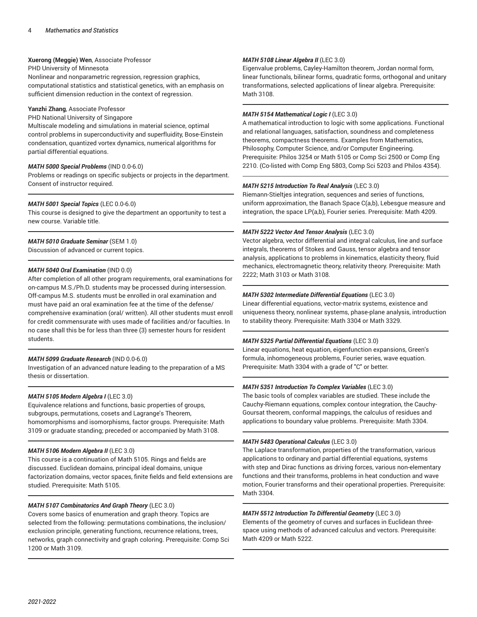#### **Xuerong (Meggie) Wen**, Associate Professor

#### PHD University of Minnesota

Nonlinear and nonparametric regression, regression graphics, computational statistics and statistical genetics, with an emphasis on sufficient dimension reduction in the context of regression.

## **Yanzhi Zhang**, Associate Professor

PHD National University of Singapore

Multiscale modeling and simulations in material science, optimal control problems in superconductivity and superfluidity, Bose-Einstein condensation, quantized vortex dynamics, numerical algorithms for partial differential equations.

# *MATH 5000 Special Problems* (IND 0.0-6.0)

Problems or readings on specific subjects or projects in the department. Consent of instructor required.

#### *MATH 5001 Special Topics* (LEC 0.0-6.0)

This course is designed to give the department an opportunity to test a new course. Variable title.

# *MATH 5010 Graduate Seminar* (SEM 1.0)

Discussion of advanced or current topics.

### *MATH 5040 Oral Examination* (IND 0.0)

After completion of all other program requirements, oral examinations for on-campus M.S./Ph.D. students may be processed during intersession. Off-campus M.S. students must be enrolled in oral examination and must have paid an oral examination fee at the time of the defense/ comprehensive examination (oral/ written). All other students must enroll for credit commensurate with uses made of facilities and/or faculties. In no case shall this be for less than three (3) semester hours for resident students.

#### *MATH 5099 Graduate Research* (IND 0.0-6.0)

Investigation of an advanced nature leading to the preparation of a MS thesis or dissertation.

#### *MATH 5105 Modern Algebra I* (LEC 3.0)

Equivalence relations and functions, basic properties of groups, subgroups, permutations, cosets and Lagrange's Theorem, homomorphisms and isomorphisms, factor groups. Prerequisite: Math 3109 or graduate standing; preceded or accompanied by Math 3108.

#### *MATH 5106 Modern Algebra II* (LEC 3.0)

This course is a continuation of Math 5105. Rings and fields are discussed. Euclidean domains, principal ideal domains, unique factorization domains, vector spaces, finite fields and field extensions are studied. Prerequisite: Math 5105.

#### *MATH 5107 Combinatorics And Graph Theory* (LEC 3.0)

Covers some basics of enumeration and graph theory. Topics are selected from the following: permutations combinations, the inclusion/ exclusion principle, generating functions, recurrence relations, trees, networks, graph connectivity and graph coloring. Prerequisite: Comp Sci 1200 or Math 3109.

# *MATH 5108 Linear Algebra II* (LEC 3.0)

Eigenvalue problems, Cayley-Hamilton theorem, Jordan normal form, linear functionals, bilinear forms, quadratic forms, orthogonal and unitary transformations, selected applications of linear algebra. Prerequisite: Math 3108.

# *MATH 5154 Mathematical Logic I* (LEC 3.0)

A mathematical introduction to logic with some applications. Functional and relational languages, satisfaction, soundness and completeness theorems, compactness theorems. Examples from Mathematics, Philosophy, Computer Science, and/or Computer Engineering. Prerequisite: Philos 3254 or Math 5105 or Comp Sci 2500 or Comp Eng 2210. (Co-listed with Comp Eng 5803, Comp Sci 5203 and Philos 4354).

#### *MATH 5215 Introduction To Real Analysis* (LEC 3.0)

Riemann-Stieltjes integration, sequences and series of functions, uniform approximation, the Banach Space C(a,b), Lebesgue measure and integration, the space LP(a,b), Fourier series. Prerequisite: Math 4209.

#### *MATH 5222 Vector And Tensor Analysis* (LEC 3.0)

Vector algebra, vector differential and integral calculus, line and surface integrals, theorems of Stokes and Gauss, tensor algebra and tensor analysis, applications to problems in kinematics, elasticity theory, fluid mechanics, electromagnetic theory, relativity theory. Prerequisite: Math 2222; Math 3103 or Math 3108.

#### *MATH 5302 Intermediate Differential Equations* (LEC 3.0)

Linear differential equations, vector-matrix systems, existence and uniqueness theory, nonlinear systems, phase-plane analysis, introduction to stability theory. Prerequisite: Math 3304 or Math 3329.

#### *MATH 5325 Partial Differential Equations* (LEC 3.0)

Linear equations, heat equation, eigenfunction expansions, Green's formula, inhomogeneous problems, Fourier series, wave equation. Prerequisite: Math 3304 with a grade of "C" or better.

#### *MATH 5351 Introduction To Complex Variables* (LEC 3.0)

The basic tools of complex variables are studied. These include the Cauchy-Riemann equations, complex contour integration, the Cauchy-Goursat theorem, conformal mappings, the calculus of residues and applications to boundary value problems. Prerequisite: Math 3304.

#### *MATH 5483 Operational Calculus* (LEC 3.0)

The Laplace transformation, properties of the transformation, various applications to ordinary and partial differential equations, systems with step and Dirac functions as driving forces, various non-elementary functions and their transforms, problems in heat conduction and wave motion, Fourier transforms and their operational properties. Prerequisite: Math 3304.

#### *MATH 5512 Introduction To Differential Geometry* (LEC 3.0)

Elements of the geometry of curves and surfaces in Euclidean threespace using methods of advanced calculus and vectors. Prerequisite: Math 4209 or Math 5222.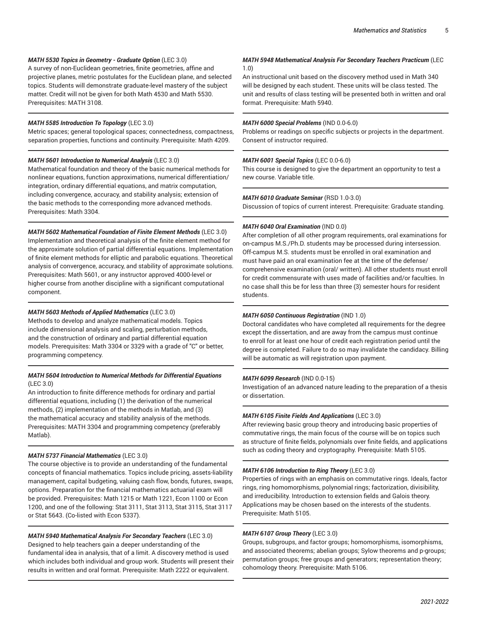# *MATH 5530 Topics in Geometry - Graduate Option* (LEC 3.0)

A survey of non-Euclidean geometries, finite geometries, affine and projective planes, metric postulates for the Euclidean plane, and selected topics. Students will demonstrate graduate-level mastery of the subject matter. Credit will not be given for both Math 4530 and Math 5530. Prerequisites: MATH 3108.

#### *MATH 5585 Introduction To Topology* (LEC 3.0)

Metric spaces; general topological spaces; connectedness, compactness, separation properties, functions and continuity. Prerequisite: Math 4209.

#### *MATH 5601 Introduction to Numerical Analysis* (LEC 3.0)

Mathematical foundation and theory of the basic numerical methods for nonlinear equations, function approximations, numerical differentiation/ integration, ordinary differential equations, and matrix computation, including convergence, accuracy, and stability analysis; extension of the basic methods to the corresponding more advanced methods. Prerequisites: Math 3304.

#### *MATH 5602 Mathematical Foundation of Finite Element Methods* (LEC 3.0)

Implementation and theoretical analysis of the finite element method for the approximate solution of partial differential equations. Implementation of finite element methods for elliptic and parabolic equations. Theoretical analysis of convergence, accuracy, and stability of approximate solutions. Prerequisites: Math 5601, or any instructor approved 4000-level or higher course from another discipline with a significant computational component.

#### *MATH 5603 Methods of Applied Mathematics* (LEC 3.0)

Methods to develop and analyze mathematical models. Topics include dimensional analysis and scaling, perturbation methods, and the construction of ordinary and partial differential equation models. Prerequisites: Math 3304 or 3329 with a grade of "C" or better, programming competency.

# *MATH 5604 Introduction to Numerical Methods for Differential Equations*  $(IFC 3.0)$

An introduction to finite difference methods for ordinary and partial differential equations, including (1) the derivation of the numerical methods, (2) implementation of the methods in Matlab, and (3) the mathematical accuracy and stability analysis of the methods. Prerequisites: MATH 3304 and programming competency (preferably Matlab).

#### *MATH 5737 Financial Mathematics* (LEC 3.0)

The course objective is to provide an understanding of the fundamental concepts of financial mathematics. Topics include pricing, assets-liability management, capital budgeting, valuing cash flow, bonds, futures, swaps, options. Preparation for the financial mathematics actuarial exam will be provided. Prerequisites: Math 1215 or Math 1221, Econ 1100 or Econ 1200, and one of the following: Stat 3111, Stat 3113, Stat 3115, Stat 3117 or Stat 5643. (Co-listed with Econ 5337).

# *MATH 5940 Mathematical Analysis For Secondary Teachers* (LEC 3.0) Designed to help teachers gain a deeper understanding of the fundamental idea in analysis, that of a limit. A discovery method is used which includes both individual and group work. Students will present their results in written and oral format. Prerequisite: Math 2222 or equivalent.

# *MATH 5948 Mathematical Analysis For Secondary Teachers Practicum* (LEC 1.0)

An instructional unit based on the discovery method used in Math 340 will be designed by each student. These units will be class tested. The unit and results of class testing will be presented both in written and oral format. Prerequisite: Math 5940.

#### *MATH 6000 Special Problems* (IND 0.0-6.0)

Problems or readings on specific subjects or projects in the department. Consent of instructor required.

#### *MATH 6001 Special Topics* (LEC 0.0-6.0)

This course is designed to give the department an opportunity to test a new course. Variable title.

#### *MATH 6010 Graduate Seminar* (RSD 1.0-3.0)

Discussion of topics of current interest. Prerequisite: Graduate standing.

#### *MATH 6040 Oral Examination* (IND 0.0)

After completion of all other program requirements, oral examinations for on-campus M.S./Ph.D. students may be processed during intersession. Off-campus M.S. students must be enrolled in oral examination and must have paid an oral examination fee at the time of the defense/ comprehensive examination (oral/ written). All other students must enroll for credit commensurate with uses made of facilities and/or faculties. In no case shall this be for less than three (3) semester hours for resident students.

#### *MATH 6050 Continuous Registration* (IND 1.0)

Doctoral candidates who have completed all requirements for the degree except the dissertation, and are away from the campus must continue to enroll for at least one hour of credit each registration period until the degree is completed. Failure to do so may invalidate the candidacy. Billing will be automatic as will registration upon payment.

#### *MATH 6099 Research* (IND 0.0-15)

Investigation of an advanced nature leading to the preparation of a thesis or dissertation.

#### *MATH 6105 Finite Fields And Applications* (LEC 3.0)

After reviewing basic group theory and introducing basic properties of commutative rings, the main focus of the course will be on topics such as structure of finite fields, polynomials over finite fields, and applications such as coding theory and cryptography. Prerequisite: Math 5105.

#### *MATH 6106 Introduction to Ring Theory* (LEC 3.0)

Properties of rings with an emphasis on commutative rings. Ideals, factor rings, ring homomorphisms, polynomial rings; factorization, divisibility, and irreducibility. Introduction to extension fields and Galois theory. Applications may be chosen based on the interests of the students. Prerequisite: Math 5105.

# *MATH 6107 Group Theory* (LEC 3.0)

Groups, subgroups, and factor groups; homomorphisms, isomorphisms, and associated theorems; abelian groups; Sylow theorems and p-groups; permutation groups; free groups and generators; representation theory; cohomology theory. Prerequisite: Math 5106.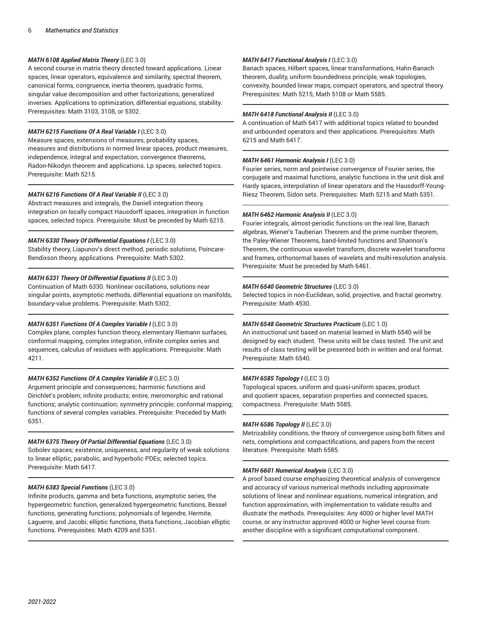# *MATH 6108 Applied Matrix Theory* (LEC 3.0)

A second course in matrix theory directed toward applications. Linear spaces, linear operators, equivalence and similarity, spectral theorem, canonical forms, congruence, inertia theorem, quadratic forms, singular value decomposition and other factorizations, generalized inverses. Applications to optimization, differential equations, stability. Prerequisites: Math 3103, 3108, or 5302.

# *MATH 6215 Functions Of A Real Variable I* (LEC 3.0)

Measure spaces, extensions of measures, probability spaces, measures and distributions in normed linear spaces, product measures, independence, integral and expectation, convergence theorems, Radon-Nikodyn theorem and applications. Lp spaces, selected topics. Prerequisite: Math 5215.

#### *MATH 6216 Functions Of A Real Variable II* (LEC 3.0)

Abstract measures and integrals, the Daniell integration theory, integration on locally compact Hausdorff spaces, integration in function spaces, selected topics. Prerequisite: Must be preceded by Math 6215.

#### *MATH 6330 Theory Of Differential Equations I* (LEC 3.0)

Stability theory, Liapunov's direct method, periodic solutions, Poincare-Bendixson theory, applications. Prerequisite: Math 5302.

# *MATH 6331 Theory Of Differential Equations II* (LEC 3.0)

Continuation of Math 6330. Nonlinear oscillations, solutions near singular points, asymptotic methods, differential equations on manifolds, boundary-value problems. Prerequisite: Math 5302.

# *MATH 6351 Functions Of A Complex Variable I* (LEC 3.0)

Complex plane, complex function theory, elementary Riemann surfaces, conformal mapping, complex integration, infinite complex series and sequences, calculus of residues with applications. Prerequisite: Math 4211.

#### *MATH 6352 Functions Of A Complex Variable II* (LEC 3.0)

Argument principle and consequences; harmonic functions and Dirichlet's problem; infinite products; entire, meromorphic and rational functions; analytic continuation; symmetry principle; conformal mapping; functions of several complex variables. Prerequisite: Preceded by Math 6351.

#### *MATH 6375 Theory Of Partial Differential Equations* (LEC 3.0)

Sobolev spaces; existence, uniqueness, and regularity of weak solutions to linear elliptic, parabolic, and hyperbolic PDEs; selected topics. Prerequisite: Math 6417.

# *MATH 6383 Special Functions* (LEC 3.0)

Infinite products, gamma and beta functions, asymptotic series, the hypergeometric function, generalized hypergeometric functions, Bessel functions, generating functions; polynomials of legendre, Hermite, Laguerre, and Jacobi; elliptic functions, theta functions, Jacobian elliptic functions. Prerequisites: Math 4209 and 5351.

### *MATH 6417 Functional Analysis I* (LEC 3.0)

Banach spaces, Hilbert spaces, linear transformations, Hahn-Banach theorem, duality, uniform boundedness principle, weak topologies, convexity, bounded linear maps, compact operators, and spectral theory. Prerequisites: Math 5215; Math 5108 or Math 5585.

#### *MATH 6418 Functional Analysis II* (LEC 3.0)

A continuation of Math 6417 with additional topics related to bounded and unbounded operators and their applications. Prerequisites: Math 6215 and Math 6417.

#### *MATH 6461 Harmonic Analysis I* (LEC 3.0)

Fourier series, norm and pointwise convergence of Fourier series, the conjugate and maximal functions, analytic functions in the unit disk and Hardy spaces, interpolation of linear operators and the Hausdorff-Young-Riesz Theorem, Sidon sets. Prerequisites: Math 5215 and Math 5351.

#### *MATH 6462 Harmonic Analysis II* (LEC 3.0)

Fourier integrals, almost-periodic functions on the real line, Banach algebras, Wiener's Tauberian Theorem and the prime number theorem, the Paley-Wiener Theorems, band-limited functions and Shannon's Theorem, the continuous wavelet transform, discrete wavelet transforms and frames, orthonormal bases of wavelets and multi-resolution analysis. Prerequisite: Must be preceded by Math 6461.

# *MATH 6540 Geometric Structures* (LEC 3.0)

Selected topics in non-Euclidean, solid, projective, and fractal geometry. Prerequisite: Math 4530.

#### *MATH 6548 Geometric Structures Practicum* (LEC 1.0)

An instructional unit based on material learned in Math 6540 will be designed by each student. These units will be class tested. The unit and results of class testing will be presented both in written and oral format. Prerequisite: Math 6540.

#### *MATH 6585 Topology I* (LEC 3.0)

Topological spaces, uniform and quasi-uniform spaces, product and quotient spaces, separation properties and connected spaces, compactness. Prerequisite: Math 5585.

#### *MATH 6586 Topology II* (LEC 3.0)

Metrizability conditions, the theory of convergence using both filters and nets, completions and compactifications, and papers from the recent literature. Prerequisite: Math 6585.

#### *MATH 6601 Numerical Analysis* (LEC 3.0)

A proof based course emphasizing theoretical analysis of convergence and accuracy of various numerical methods including approximate solutions of linear and nonlinear equations, numerical integration, and function approximation, with implementation to validate results and illustrate the methods. Prerequisites: Any 4000 or higher level MATH course, or any instructor approved 4000 or higher level course from another discipline with a significant computational component.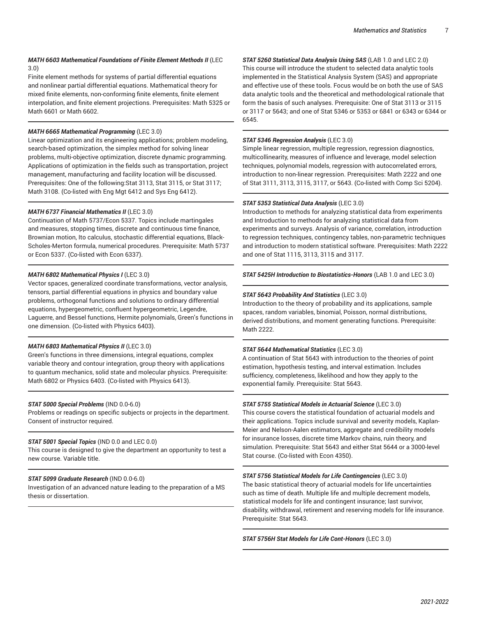# *MATH 6603 Mathematical Foundations of Finite Element Methods II* (LEC 3.0)

Finite element methods for systems of partial differential equations and nonlinear partial differential equations. Mathematical theory for mixed finite elements, non-conforming finite elements, finite element interpolation, and finite element projections. Prerequisites: Math 5325 or Math 6601 or Math 6602.

# *MATH 6665 Mathematical Programming* (LEC 3.0)

Linear optimization and its engineering applications; problem modeling, search-based optimization, the simplex method for solving linear problems, multi-objective optimization, discrete dynamic programming. Applications of optimization in the fields such as transportation, project management, manufacturing and facility location will be discussed. Prerequisites: One of the following:Stat 3113, Stat 3115, or Stat 3117; Math 3108. (Co-listed with Eng Mgt 6412 and Sys Eng 6412).

# *MATH 6737 Financial Mathematics II* (LEC 3.0)

Continuation of Math 5737/Econ 5337. Topics include martingales and measures, stopping times, discrete and continuous time finance, Brownian motion, Ito calculus, stochastic differential equations, Black-Scholes-Merton formula, numerical procedures. Prerequisite: Math 5737 or Econ 5337. (Co-listed with Econ 6337).

# *MATH 6802 Mathematical Physics I* (LEC 3.0)

Vector spaces, generalized coordinate transformations, vector analysis, tensors, partial differential equations in physics and boundary value problems, orthogonal functions and solutions to ordinary differential equations, hypergeometric, confluent hypergeometric, Legendre, Laguerre, and Bessel functions, Hermite polynomials, Green's functions in one dimension. (Co-listed with Physics 6403).

# *MATH 6803 Mathematical Physics II* (LEC 3.0)

Green's functions in three dimensions, integral equations, complex variable theory and contour integration, group theory with applications to quantum mechanics, solid state and molecular physics. Prerequisite: Math 6802 or Physics 6403. (Co-listed with Physics 6413).

# *STAT 5000 Special Problems* (IND 0.0-6.0)

Problems or readings on specific subjects or projects in the department. Consent of instructor required.

# *STAT 5001 Special Topics* (IND 0.0 and LEC 0.0)

This course is designed to give the department an opportunity to test a new course. Variable title.

# *STAT 5099 Graduate Research* (IND 0.0-6.0)

Investigation of an advanced nature leading to the preparation of a MS thesis or dissertation.

*STAT 5260 Statistical Data Analysis Using SAS* (LAB 1.0 and LEC 2.0) This course will introduce the student to selected data analytic tools implemented in the Statistical Analysis System (SAS) and appropriate and effective use of these tools. Focus would be on both the use of SAS data analytic tools and the theoretical and methodological rationale that form the basis of such analyses. Prerequisite: One of Stat 3113 or 3115 or 3117 or 5643; and one of Stat 5346 or 5353 or 6841 or 6343 or 6344 or 6545.

## *STAT 5346 Regression Analysis* (LEC 3.0)

Simple linear regression, multiple regression, regression diagnostics, multicollinearity, measures of influence and leverage, model selection techniques, polynomial models, regression with autocorrelated errors, introduction to non-linear regression. Prerequisites: Math 2222 and one of Stat 3111, 3113, 3115, 3117, or 5643. (Co-listed with Comp Sci 5204).

# *STAT 5353 Statistical Data Analysis* (LEC 3.0)

Introduction to methods for analyzing statistical data from experiments and Introduction to methods for analyzing statistical data from experiments and surveys. Analysis of variance, correlation, introduction to regression techniques, contingency tables, non-parametric techniques and introduction to modern statistical software. Prerequisites: Math 2222 and one of Stat 1115, 3113, 3115 and 3117.

*STAT 5425H Introduction to Biostatistics-Honors* (LAB 1.0 and LEC 3.0)

# *STAT 5643 Probability And Statistics* (LEC 3.0)

Introduction to the theory of probability and its applications, sample spaces, random variables, binomial, Poisson, normal distributions, derived distributions, and moment generating functions. Prerequisite: Math 2222.

#### *STAT 5644 Mathematical Statistics* (LEC 3.0)

A continuation of Stat 5643 with introduction to the theories of point estimation, hypothesis testing, and interval estimation. Includes sufficiency, completeness, likelihood and how they apply to the exponential family. Prerequisite: Stat 5643.

# *STAT 5755 Statistical Models in Actuarial Science* (LEC 3.0)

This course covers the statistical foundation of actuarial models and their applications. Topics include survival and severity models, Kaplan-Meier and Nelson-Aalen estimators, aggregate and credibility models for insurance losses, discrete time Markov chains, ruin theory, and simulation. Prerequisite: Stat 5643 and either Stat 5644 or a 3000-level Stat course. (Co-listed with Econ 4350).

#### *STAT 5756 Statistical Models for Life Contingencies* (LEC 3.0)

The basic statistical theory of actuarial models for life uncertainties such as time of death. Multiple life and multiple decrement models, statistical models for life and contingent insurance; last survivor, disability, withdrawal, retirement and reserving models for life insurance. Prerequisite: Stat 5643.

*STAT 5756H Stat Models for Life Cont-Honors* (LEC 3.0)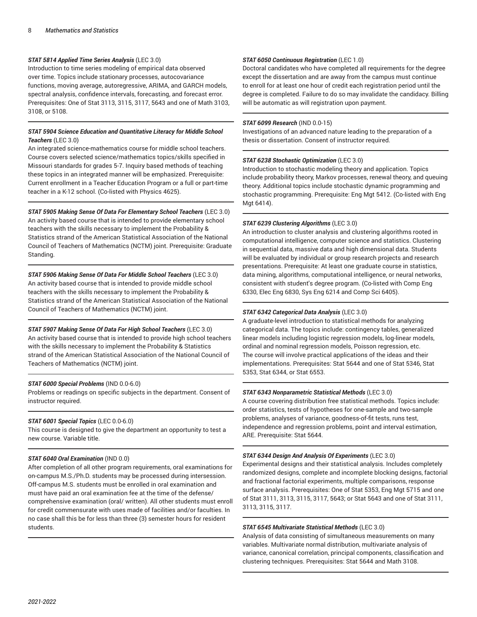# *STAT 5814 Applied Time Series Analysis* (LEC 3.0)

Introduction to time series modeling of empirical data observed over time. Topics include stationary processes, autocovariance functions, moving average, autoregressive, ARIMA, and GARCH models, spectral analysis, confidence intervals, forecasting, and forecast error. Prerequisites: One of Stat 3113, 3115, 3117, 5643 and one of Math 3103, 3108, or 5108.

# *STAT 5904 Science Education and Quantitative Literacy for Middle School Teachers* (LEC 3.0)

An integrated science-mathematics course for middle school teachers. Course covers selected science/mathematics topics/skills specified in Missouri standards for grades 5-7. Inquiry based methods of teaching these topics in an integrated manner will be emphasized. Prerequisite: Current enrollment in a Teacher Education Program or a full or part-time teacher in a K-12 school. (Co-listed with Physics 4625).

*STAT 5905 Making Sense Of Data For Elementary School Teachers* (LEC 3.0) An activity based course that is intended to provide elementary school teachers with the skills necessary to implement the Probability & Statistics strand of the American Statistical Association of the National Council of Teachers of Mathematics (NCTM) joint. Prerequisite: Graduate Standing.

*STAT 5906 Making Sense Of Data For Middle School Teachers* (LEC 3.0) An activity based course that is intended to provide middle school teachers with the skills necessary to implement the Probability & Statistics strand of the American Statistical Association of the National Council of Teachers of Mathematics (NCTM) joint.

*STAT 5907 Making Sense Of Data For High School Teachers* (LEC 3.0) An activity based course that is intended to provide high school teachers with the skills necessary to implement the Probability & Statistics strand of the American Statistical Association of the National Council of Teachers of Mathematics (NCTM) joint.

#### *STAT 6000 Special Problems* (IND 0.0-6.0)

Problems or readings on specific subjects in the department. Consent of instructor required.

#### *STAT 6001 Special Topics* (LEC 0.0-6.0)

This course is designed to give the department an opportunity to test a new course. Variable title.

#### *STAT 6040 Oral Examination* (IND 0.0)

After completion of all other program requirements, oral examinations for on-campus M.S./Ph.D. students may be processed during intersession. Off-campus M.S. students must be enrolled in oral examination and must have paid an oral examination fee at the time of the defense/ comprehensive examination (oral/ written). All other students must enroll for credit commensurate with uses made of facilities and/or faculties. In no case shall this be for less than three (3) semester hours for resident students.

#### *STAT 6050 Continuous Registration* (LEC 1.0)

Doctoral candidates who have completed all requirements for the degree except the dissertation and are away from the campus must continue to enroll for at least one hour of credit each registration period until the degree is completed. Failure to do so may invalidate the candidacy. Billing will be automatic as will registration upon payment.

#### *STAT 6099 Research* (IND 0.0-15)

Investigations of an advanced nature leading to the preparation of a thesis or dissertation. Consent of instructor required.

#### *STAT 6238 Stochastic Optimization* (LEC 3.0)

Introduction to stochastic modeling theory and application. Topics include probability theory, Markov processes, renewal theory, and queuing theory. Additional topics include stochastic dynamic programming and stochastic programming. Prerequisite: Eng Mgt 5412. (Co-listed with Eng Mgt 6414).

#### *STAT 6239 Clustering Algorithms* (LEC 3.0)

An introduction to cluster analysis and clustering algorithms rooted in computational intelligence, computer science and statistics. Clustering in sequential data, massive data and high dimensional data. Students will be evaluated by individual or group research projects and research presentations. Prerequisite: At least one graduate course in statistics, data mining, algorithms, computational intelligence, or neural networks, consistent with student's degree program. (Co-listed with Comp Eng 6330, Elec Eng 6830, Sys Eng 6214 and Comp Sci 6405).

#### *STAT 6342 Categorical Data Analysis* (LEC 3.0)

A graduate-level introduction to statistical methods for analyzing categorical data. The topics include: contingency tables, generalized linear models including logistic regression models, log-linear models, ordinal and nominal regression models, Poisson regression, etc. The course will involve practical applications of the ideas and their implementations. Prerequisites: Stat 5644 and one of Stat 5346, Stat 5353, Stat 6344, or Stat 6553.

#### *STAT 6343 Nonparametric Statistical Methods* (LEC 3.0)

A course covering distribution free statistical methods. Topics include: order statistics, tests of hypotheses for one-sample and two-sample problems, analyses of variance, goodness-of-fit tests, runs test, independence and regression problems, point and interval estimation, ARE. Prerequisite: Stat 5644.

#### *STAT 6344 Design And Analysis Of Experiments* (LEC 3.0)

Experimental designs and their statistical analysis. Includes completely randomized designs, complete and incomplete blocking designs, factorial and fractional factorial experiments, multiple comparisons, response surface analysis. Prerequisites: One of Stat 5353, Eng Mgt 5715 and one of Stat 3111, 3113, 3115, 3117, 5643; or Stat 5643 and one of Stat 3111, 3113, 3115, 3117.

#### *STAT 6545 Multivariate Statistical Methods* (LEC 3.0)

Analysis of data consisting of simultaneous measurements on many variables. Multivariate normal distribution, multivariate analysis of variance, canonical correlation, principal components, classification and clustering techniques. Prerequisites: Stat 5644 and Math 3108.